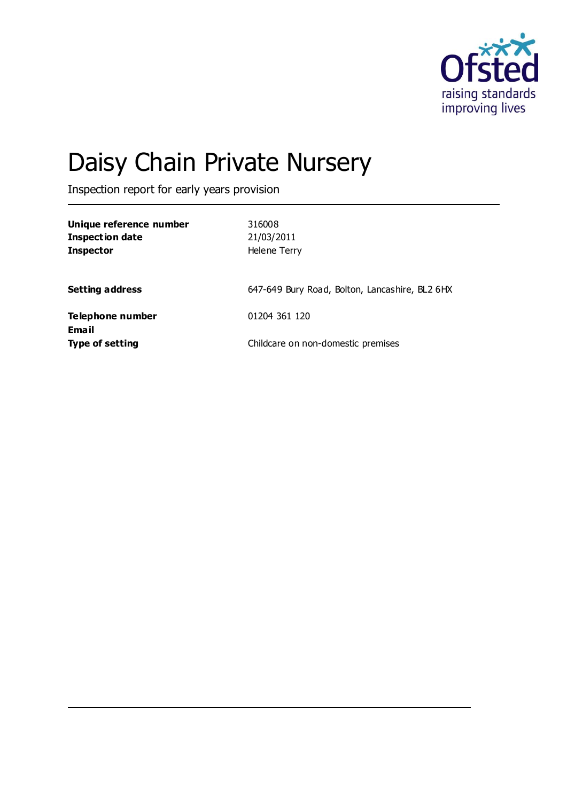

# Daisy Chain Private Nursery

Inspection report for early years provision

| Unique reference number<br><b>Inspection date</b><br><b>Inspector</b> | 316008<br>21/03/2011<br>Helene Terry           |
|-----------------------------------------------------------------------|------------------------------------------------|
| <b>Setting address</b>                                                | 647-649 Bury Road, Bolton, Lancashire, BL2 6HX |
| Telephone number                                                      | 01204 361 120                                  |
| <b>Email</b><br><b>Type of setting</b>                                | Childcare on non-domestic premises             |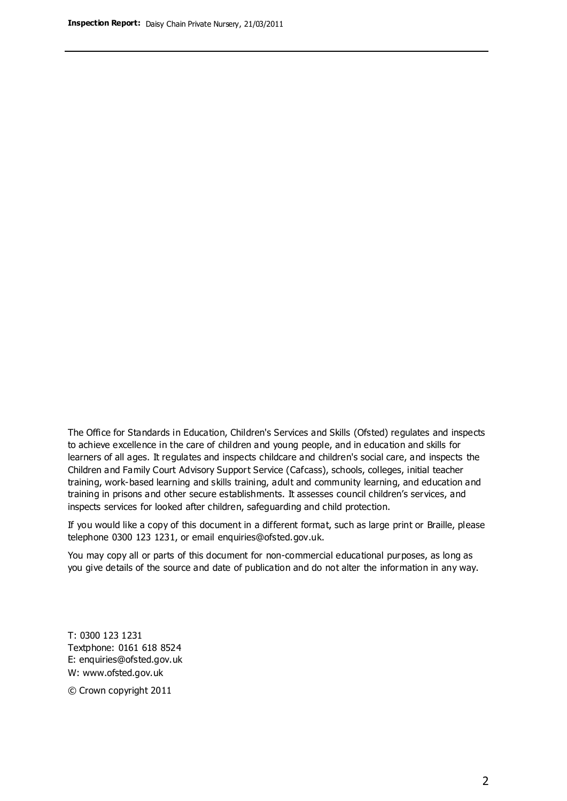The Office for Standards in Education, Children's Services and Skills (Ofsted) regulates and inspects to achieve excellence in the care of children and young people, and in education and skills for learners of all ages. It regulates and inspects childcare and children's social care, and inspects the Children and Family Court Advisory Support Service (Cafcass), schools, colleges, initial teacher training, work-based learning and skills training, adult and community learning, and education and training in prisons and other secure establishments. It assesses council children's services, and inspects services for looked after children, safeguarding and child protection.

If you would like a copy of this document in a different format, such as large print or Braille, please telephone 0300 123 1231, or email enquiries@ofsted.gov.uk.

You may copy all or parts of this document for non-commercial educational purposes, as long as you give details of the source and date of publication and do not alter the information in any way.

T: 0300 123 1231 Textphone: 0161 618 8524 E: enquiries@ofsted.gov.uk W: [www.ofsted.gov.uk](http://www.ofsted.gov.uk/)

© Crown copyright 2011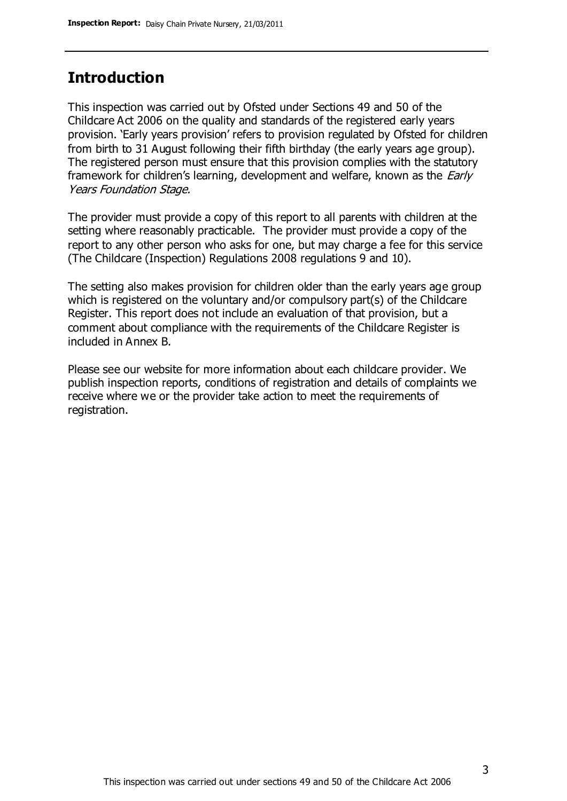## **Introduction**

This inspection was carried out by Ofsted under Sections 49 and 50 of the Childcare Act 2006 on the quality and standards of the registered early years provision. 'Early years provision' refers to provision regulated by Ofsted for children from birth to 31 August following their fifth birthday (the early years age group). The registered person must ensure that this provision complies with the statutory framework for children's learning, development and welfare, known as the *Early* Years Foundation Stage.

The provider must provide a copy of this report to all parents with children at the setting where reasonably practicable. The provider must provide a copy of the report to any other person who asks for one, but may charge a fee for this service (The Childcare (Inspection) Regulations 2008 regulations 9 and 10).

The setting also makes provision for children older than the early years age group which is registered on the voluntary and/or compulsory part(s) of the Childcare Register. This report does not include an evaluation of that provision, but a comment about compliance with the requirements of the Childcare Register is included in Annex B.

Please see our website for more information about each childcare provider. We publish inspection reports, conditions of registration and details of complaints we receive where we or the provider take action to meet the requirements of registration.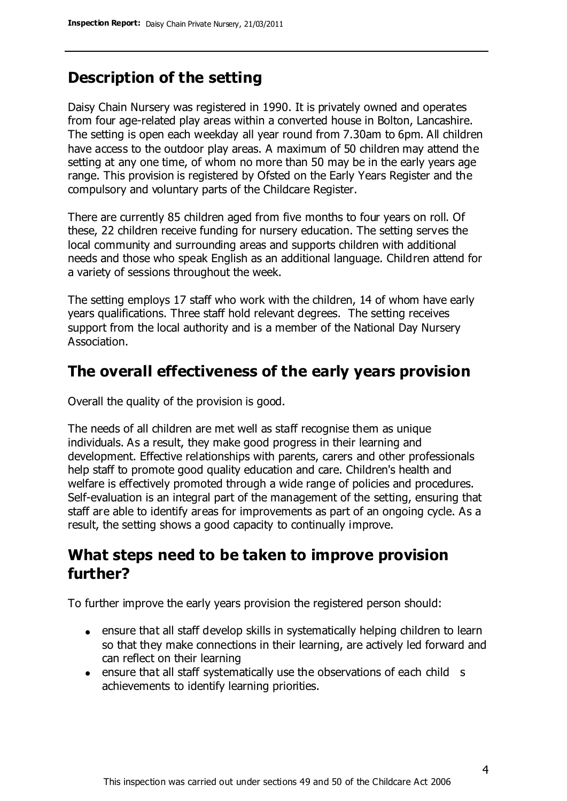# **Description of the setting**

Daisy Chain Nursery was registered in 1990. It is privately owned and operates from four age-related play areas within a converted house in Bolton, Lancashire. The setting is open each weekday all year round from 7.30am to 6pm. All children have access to the outdoor play areas. A maximum of 50 children may attend the setting at any one time, of whom no more than 50 may be in the early years age range. This provision is registered by Ofsted on the Early Years Register and the compulsory and voluntary parts of the Childcare Register.

There are currently 85 children aged from five months to four years on roll. Of these, 22 children receive funding for nursery education. The setting serves the local community and surrounding areas and supports children with additional needs and those who speak English as an additional language. Children attend for a variety of sessions throughout the week.

The setting employs 17 staff who work with the children, 14 of whom have early years qualifications. Three staff hold relevant degrees. The setting receives support from the local authority and is a member of the National Day Nursery Association.

## **The overall effectiveness of the early years provision**

Overall the quality of the provision is good.

The needs of all children are met well as staff recognise them as unique individuals. As a result, they make good progress in their learning and development. Effective relationships with parents, carers and other professionals help staff to promote good quality education and care. Children's health and welfare is effectively promoted through a wide range of policies and procedures. Self-evaluation is an integral part of the management of the setting, ensuring that staff are able to identify areas for improvements as part of an ongoing cycle. As a result, the setting shows a good capacity to continually improve.

# **What steps need to be taken to improve provision further?**

To further improve the early years provision the registered person should:

- ensure that all staff develop skills in systematically helping children to learn so that they make connections in their learning, are actively led forward and can reflect on their learning
- ensure that all staff systematically use the observations of each child s achievements to identify learning priorities.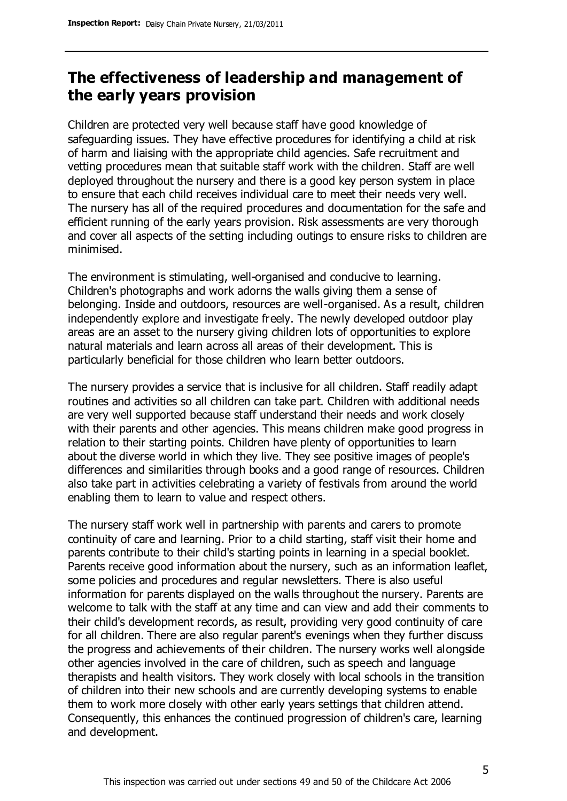# **The effectiveness of leadership and management of the early years provision**

Children are protected very well because staff have good knowledge of safeguarding issues. They have effective procedures for identifying a child at risk of harm and liaising with the appropriate child agencies. Safe recruitment and vetting procedures mean that suitable staff work with the children. Staff are well deployed throughout the nursery and there is a good key person system in place to ensure that each child receives individual care to meet their needs very well. The nursery has all of the required procedures and documentation for the safe and efficient running of the early years provision. Risk assessments are very thorough and cover all aspects of the setting including outings to ensure risks to children are minimised.

The environment is stimulating, well-organised and conducive to learning. Children's photographs and work adorns the walls giving them a sense of belonging. Inside and outdoors, resources are well-organised. As a result, children independently explore and investigate freely. The newly developed outdoor play areas are an asset to the nursery giving children lots of opportunities to explore natural materials and learn across all areas of their development. This is particularly beneficial for those children who learn better outdoors.

The nursery provides a service that is inclusive for all children. Staff readily adapt routines and activities so all children can take part. Children with additional needs are very well supported because staff understand their needs and work closely with their parents and other agencies. This means children make good progress in relation to their starting points. Children have plenty of opportunities to learn about the diverse world in which they live. They see positive images of people's differences and similarities through books and a good range of resources. Children also take part in activities celebrating a variety of festivals from around the world enabling them to learn to value and respect others.

The nursery staff work well in partnership with parents and carers to promote continuity of care and learning. Prior to a child starting, staff visit their home and parents contribute to their child's starting points in learning in a special booklet. Parents receive good information about the nursery, such as an information leaflet, some policies and procedures and regular newsletters. There is also useful information for parents displayed on the walls throughout the nursery. Parents are welcome to talk with the staff at any time and can view and add their comments to their child's development records, as result, providing very good continuity of care for all children. There are also regular parent's evenings when they further discuss the progress and achievements of their children. The nursery works well alongside other agencies involved in the care of children, such as speech and language therapists and health visitors. They work closely with local schools in the transition of children into their new schools and are currently developing systems to enable them to work more closely with other early years settings that children attend. Consequently, this enhances the continued progression of children's care, learning and development.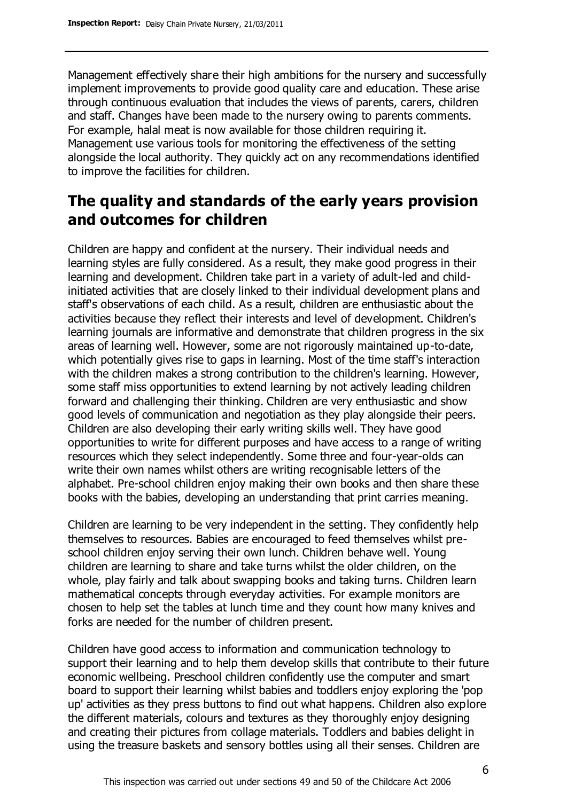Management effectively share their high ambitions for the nursery and successfully implement improvements to provide good quality care and education. These arise through continuous evaluation that includes the views of parents, carers, children and staff. Changes have been made to the nursery owing to parents comments. For example, halal meat is now available for those children requiring it. Management use various tools for monitoring the effectiveness of the setting alongside the local authority. They quickly act on any recommendations identified to improve the facilities for children.

# **The quality and standards of the early years provision and outcomes for children**

Children are happy and confident at the nursery. Their individual needs and learning styles are fully considered. As a result, they make good progress in their learning and development. Children take part in a variety of adult-led and childinitiated activities that are closely linked to their individual development plans and staff's observations of each child. As a result, children are enthusiastic about the activities because they reflect their interests and level of development. Children's learning journals are informative and demonstrate that children progress in the six areas of learning well. However, some are not rigorously maintained up-to-date, which potentially gives rise to gaps in learning. Most of the time staff's interaction with the children makes a strong contribution to the children's learning. However, some staff miss opportunities to extend learning by not actively leading children forward and challenging their thinking. Children are very enthusiastic and show good levels of communication and negotiation as they play alongside their peers. Children are also developing their early writing skills well. They have good opportunities to write for different purposes and have access to a range of writing resources which they select independently. Some three and four-year-olds can write their own names whilst others are writing recognisable letters of the alphabet. Pre-school children enjoy making their own books and then share these books with the babies, developing an understanding that print carries meaning.

Children are learning to be very independent in the setting. They confidently help themselves to resources. Babies are encouraged to feed themselves whilst preschool children enjoy serving their own lunch. Children behave well. Young children are learning to share and take turns whilst the older children, on the whole, play fairly and talk about swapping books and taking turns. Children learn mathematical concepts through everyday activities. For example monitors are chosen to help set the tables at lunch time and they count how many knives and forks are needed for the number of children present.

Children have good access to information and communication technology to support their learning and to help them develop skills that contribute to their future economic wellbeing. Preschool children confidently use the computer and smart board to support their learning whilst babies and toddlers enjoy exploring the 'pop up' activities as they press buttons to find out what happens. Children also explore the different materials, colours and textures as they thoroughly enjoy designing and creating their pictures from collage materials. Toddlers and babies delight in using the treasure baskets and sensory bottles using all their senses. Children are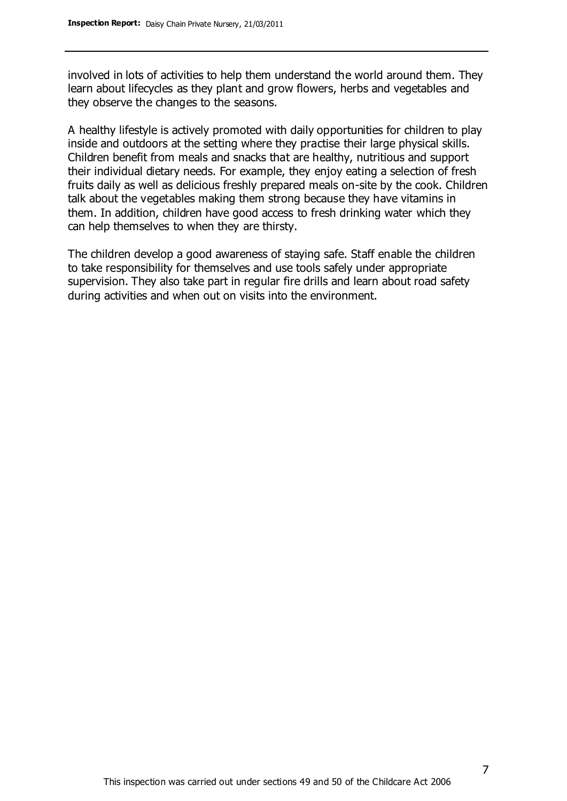involved in lots of activities to help them understand the world around them. They learn about lifecycles as they plant and grow flowers, herbs and vegetables and they observe the changes to the seasons.

A healthy lifestyle is actively promoted with daily opportunities for children to play inside and outdoors at the setting where they practise their large physical skills. Children benefit from meals and snacks that are healthy, nutritious and support their individual dietary needs. For example, they enjoy eating a selection of fresh fruits daily as well as delicious freshly prepared meals on-site by the cook. Children talk about the vegetables making them strong because they have vitamins in them. In addition, children have good access to fresh drinking water which they can help themselves to when they are thirsty.

The children develop a good awareness of staying safe. Staff enable the children to take responsibility for themselves and use tools safely under appropriate supervision. They also take part in regular fire drills and learn about road safety during activities and when out on visits into the environment.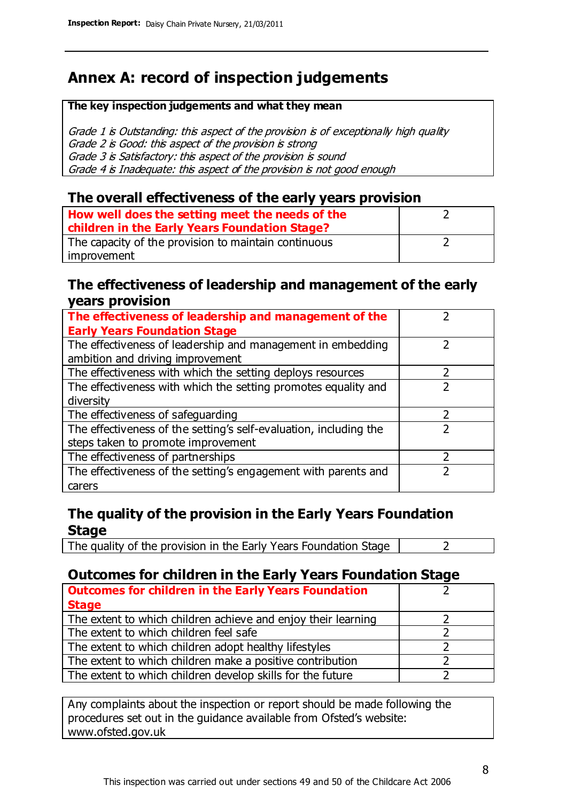# **Annex A: record of inspection judgements**

#### **The key inspection judgements and what they mean**

Grade 1 is Outstanding: this aspect of the provision is of exceptionally high quality Grade 2 is Good: this aspect of the provision is strong Grade 3 is Satisfactory: this aspect of the provision is sound Grade 4 is Inadequate: this aspect of the provision is not good enough

### **The overall effectiveness of the early years provision**

| How well does the setting meet the needs of the<br>children in the Early Years Foundation Stage? |  |
|--------------------------------------------------------------------------------------------------|--|
| The capacity of the provision to maintain continuous                                             |  |
| improvement                                                                                      |  |

### **The effectiveness of leadership and management of the early years provision**

| The effectiveness of leadership and management of the             |   |
|-------------------------------------------------------------------|---|
| <b>Early Years Foundation Stage</b>                               |   |
| The effectiveness of leadership and management in embedding       |   |
| ambition and driving improvement                                  |   |
| The effectiveness with which the setting deploys resources        |   |
| The effectiveness with which the setting promotes equality and    |   |
| diversity                                                         |   |
| The effectiveness of safeguarding                                 | 7 |
| The effectiveness of the setting's self-evaluation, including the |   |
| steps taken to promote improvement                                |   |
| The effectiveness of partnerships                                 |   |
| The effectiveness of the setting's engagement with parents and    |   |
| carers                                                            |   |

## **The quality of the provision in the Early Years Foundation Stage**

The quality of the provision in the Early Years Foundation Stage  $\vert$  2

## **Outcomes for children in the Early Years Foundation Stage**

| <b>Outcomes for children in the Early Years Foundation</b>    |  |
|---------------------------------------------------------------|--|
| <b>Stage</b>                                                  |  |
| The extent to which children achieve and enjoy their learning |  |
| The extent to which children feel safe                        |  |
| The extent to which children adopt healthy lifestyles         |  |
| The extent to which children make a positive contribution     |  |
| The extent to which children develop skills for the future    |  |

Any complaints about the inspection or report should be made following the procedures set out in the guidance available from Ofsted's website: www.ofsted.gov.uk